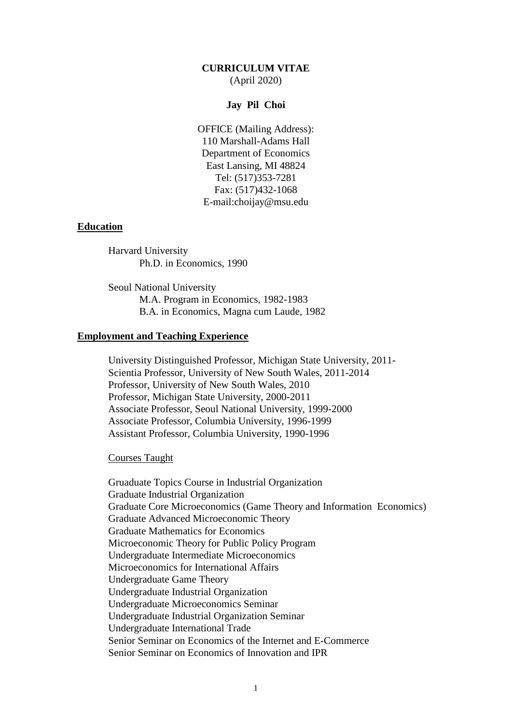## **CURRICULUM VITAE** (April 2020)

### **Jay Pil Choi**

OFFICE (Mailing Address): 110 Marshall-Adams Hall Department of Economics East Lansing, MI 48824 Tel: (517)353-7281 Fax: (517)432-1068 E-mail:choijay@msu.edu

#### **Education**

Harvard University Ph.D. in Economics, 1990

Seoul National University M.A. Program in Economics, 1982-1983 B.A. in Economics, Magna cum Laude, 1982

# **Employment and Teaching Experience**

University Distinguished Professor, Michigan State University, 2011- Scientia Professor, University of New South Wales, 2011-2014 Professor, University of New South Wales, 2010 Professor, Michigan State University, 2000-2011 Associate Professor, Seoul National University, 1999-2000 Associate Professor, Columbia University, 1996-1999 Assistant Professor, Columbia University, 1990-1996

Courses Taught

Gruaduate Topics Course in Industrial Organization Graduate Industrial Organization Graduate Core Microeconomics (Game Theory and Information Economics) Graduate Advanced Microeconomic Theory Graduate Mathematics for Economics Microeconomic Theory for Public Policy Program Undergraduate Intermediate Microeconomics Microeconomics for International Affairs Undergraduate Game Theory Undergraduate Industrial Organization Undergraduate Microeconomics Seminar Undergraduate Industrial Organization Seminar Undergraduate International Trade Senior Seminar on Economics of the Internet and E-Commerce Senior Seminar on Economics of Innovation and IPR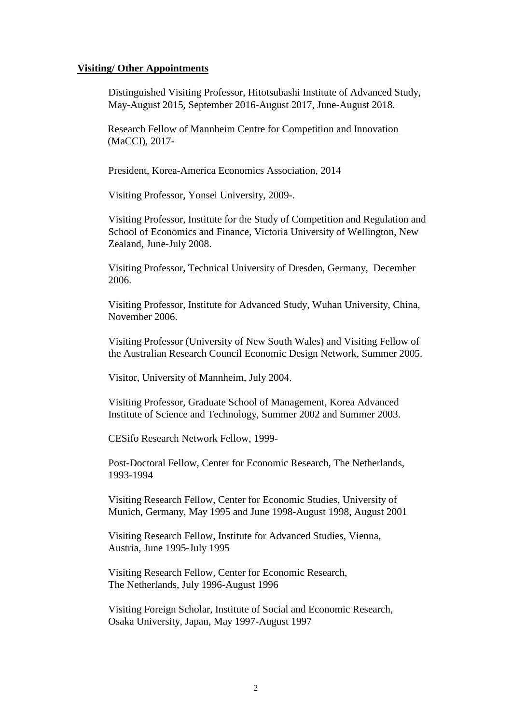#### **Visiting/ Other Appointments**

Distinguished Visiting Professor, Hitotsubashi Institute of Advanced Study, May-August 2015, September 2016-August 2017, June-August 2018.

Research Fellow of Mannheim Centre for Competition and Innovation (MaCCI), 2017-

President, Korea-America Economics Association, 2014

Visiting Professor, Yonsei University, 2009-.

Visiting Professor, Institute for the Study of Competition and Regulation and School of Economics and Finance, Victoria University of Wellington, New Zealand, June-July 2008.

Visiting Professor, Technical University of Dresden, Germany, December 2006.

Visiting Professor, Institute for Advanced Study, Wuhan University, China, November 2006.

Visiting Professor (University of New South Wales) and Visiting Fellow of the Australian Research Council Economic Design Network, Summer 2005.

Visitor, University of Mannheim, July 2004.

Visiting Professor, Graduate School of Management, Korea Advanced Institute of Science and Technology, Summer 2002 and Summer 2003.

CESifo Research Network Fellow, 1999-

Post-Doctoral Fellow, Center for Economic Research, The Netherlands, 1993-1994

Visiting Research Fellow, Center for Economic Studies, University of Munich, Germany, May 1995 and June 1998-August 1998, August 2001

Visiting Research Fellow, Institute for Advanced Studies, Vienna, Austria, June 1995-July 1995

Visiting Research Fellow, Center for Economic Research, The Netherlands, July 1996-August 1996

Visiting Foreign Scholar, Institute of Social and Economic Research, Osaka University, Japan, May 1997-August 1997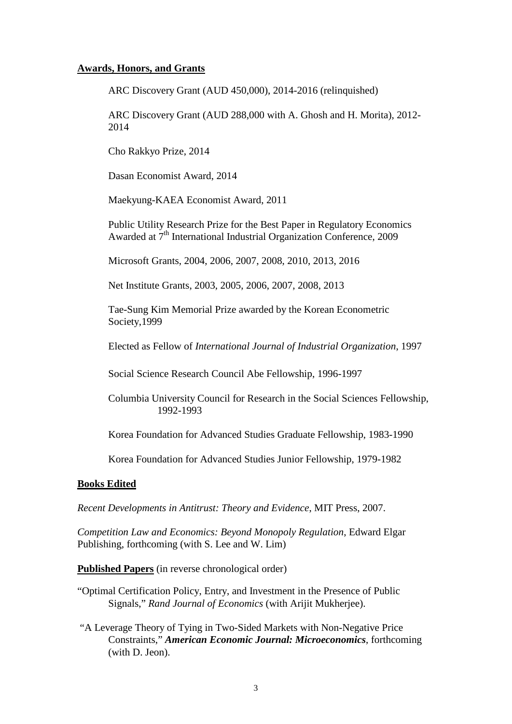### **Awards, Honors, and Grants**

ARC Discovery Grant (AUD 450,000), 2014-2016 (relinquished)

ARC Discovery Grant (AUD 288,000 with A. Ghosh and H. Morita), 2012- 2014

Cho Rakkyo Prize, 2014

Dasan Economist Award, 2014

Maekyung-KAEA Economist Award, 2011

Public Utility Research Prize for the Best Paper in Regulatory Economics Awarded at 7<sup>th</sup> International Industrial Organization Conference, 2009

Microsoft Grants, 2004, 2006, 2007, 2008, 2010, 2013, 2016

Net Institute Grants, 2003, 2005, 2006, 2007, 2008, 2013

Tae-Sung Kim Memorial Prize awarded by the Korean Econometric Society,1999

Elected as Fellow of *International Journal of Industrial Organization*, 1997

Social Science Research Council Abe Fellowship, 1996-1997

Columbia University Council for Research in the Social Sciences Fellowship, 1992-1993

Korea Foundation for Advanced Studies Graduate Fellowship, 1983-1990

Korea Foundation for Advanced Studies Junior Fellowship, 1979-1982

#### **Books Edited**

*Recent Developments in Antitrust: Theory and Evidence*, MIT Press, 2007.

*Competition Law and Economics: Beyond Monopoly Regulation*, Edward Elgar Publishing, forthcoming (with S. Lee and W. Lim)

**Published Papers** (in reverse chronological order)

- "Optimal Certification Policy, Entry, and Investment in the Presence of Public Signals," *Rand Journal of Economics* (with Arijit Mukherjee).
- "A Leverage Theory of Tying in Two-Sided Markets with Non-Negative Price Constraints," *American Economic Journal: Microeconomics*, forthcoming (with D. Jeon).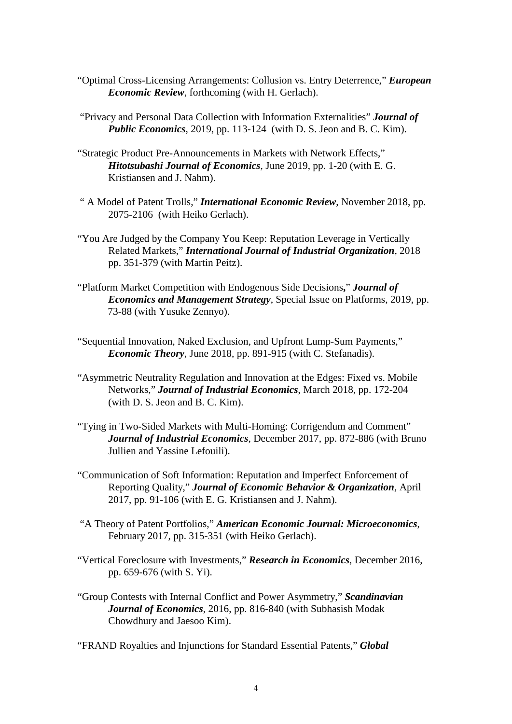- "Optimal Cross-Licensing Arrangements: Collusion vs. Entry Deterrence," *European Economic Review*, forthcoming (with H. Gerlach).
- "Privacy and Personal Data Collection with Information Externalities" *Journal of Public Economics*, 2019, pp. 113-124 (with D. S. Jeon and B. C. Kim).
- "Strategic Product Pre-Announcements in Markets with Network Effects," *Hitotsubashi Journal of Economics*, June 2019, pp. 1-20 (with E. G. Kristiansen and J. Nahm).
- " A Model of Patent Trolls," *International Economic Review*, November 2018, pp. 2075-2106 (with Heiko Gerlach).
- "You Are Judged by the Company You Keep: Reputation Leverage in Vertically Related Markets," *International Journal of Industrial Organization*, 2018 pp. 351-379 (with Martin Peitz).
- "Platform Market Competition with Endogenous Side Decisions**,**" *Journal of Economics and Management Strategy*, Special Issue on Platforms, 2019, pp. 73-88 (with Yusuke Zennyo).
- "Sequential Innovation, Naked Exclusion, and Upfront Lump-Sum Payments," *Economic Theory*, June 2018, pp. 891-915 (with C. Stefanadis).
- "Asymmetric Neutrality Regulation and Innovation at the Edges: Fixed vs. Mobile Networks," *Journal of Industrial Economics*, March 2018, pp. 172-204 (with D. S. Jeon and B. C. Kim).
- "Tying in Two-Sided Markets with Multi-Homing: Corrigendum and Comment" *Journal of Industrial Economics*, December 2017, pp. 872-886 (with Bruno Jullien and Yassine Lefouili).
- "Communication of Soft Information: Reputation and Imperfect Enforcement of Reporting Quality," *Journal of Economic Behavior & Organization*, April 2017, pp. 91-106 (with E. G. Kristiansen and J. Nahm).
- "A Theory of Patent Portfolios," *American Economic Journal: Microeconomics*, February 2017, pp. 315-351 (with Heiko Gerlach).
- "Vertical Foreclosure with Investments," *Research in Economics*, December 2016, pp. 659-676 (with S. Yi).
- "Group Contests with Internal Conflict and Power Asymmetry," *Scandinavian Journal of Economics*, 2016, pp. 816-840 (with Subhasish Modak Chowdhury and Jaesoo Kim).

"FRAND Royalties and Injunctions for Standard Essential Patents," *Global*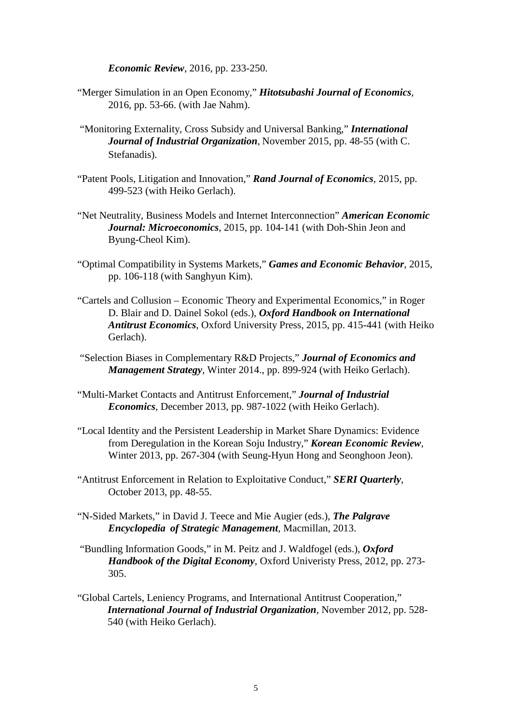*Economic Review*, 2016, pp. 233-250.

- "Merger Simulation in an Open Economy," *Hitotsubashi Journal of Economics*, 2016, pp. 53-66. (with Jae Nahm).
- "Monitoring Externality, Cross Subsidy and Universal Banking," *International Journal of Industrial Organization*, November 2015, pp. 48-55 (with C. Stefanadis).
- "Patent Pools, Litigation and Innovation," *Rand Journal of Economics*, 2015, pp. 499-523 (with Heiko Gerlach).
- "Net Neutrality, Business Models and Internet Interconnection" *American Economic Journal: Microeconomics*, 2015, pp. 104-141 (with Doh-Shin Jeon and Byung-Cheol Kim).
- "Optimal Compatibility in Systems Markets," *Games and Economic Behavior*, 2015, pp. 106-118 (with Sanghyun Kim).
- "Cartels and Collusion Economic Theory and Experimental Economics," in Roger D. Blair and D. Dainel Sokol (eds.), *Oxford Handbook on International Antitrust Economics*, Oxford University Press, 2015, pp. 415-441 (with Heiko Gerlach).
- "Selection Biases in Complementary R&D Projects," *Journal of Economics and Management Strategy,* Winter 2014., pp. 899-924 (with Heiko Gerlach).
- "Multi-Market Contacts and Antitrust Enforcement," *Journal of Industrial Economics*, December 2013, pp. 987-1022 (with Heiko Gerlach).
- "Local Identity and the Persistent Leadership in Market Share Dynamics: Evidence from Deregulation in the Korean Soju Industry," *Korean Economic Review*, Winter 2013, pp. 267-304 (with Seung-Hyun Hong and Seonghoon Jeon).
- "Antitrust Enforcement in Relation to Exploitative Conduct," *SERI Quarterly*, October 2013, pp. 48-55.
- "N-Sided Markets," in David J. Teece and Mie Augier (eds.), *The Palgrave Encyclopedia of Strategic Management*, Macmillan, 2013.
- "Bundling Information Goods," in M. Peitz and J. Waldfogel (eds.), *Oxford Handbook of the Digital Economy*, Oxford Univeristy Press, 2012, pp. 273- 305.
- "Global Cartels, Leniency Programs, and International Antitrust Cooperation," *International Journal of Industrial Organization*, November 2012, pp. 528- 540 (with Heiko Gerlach).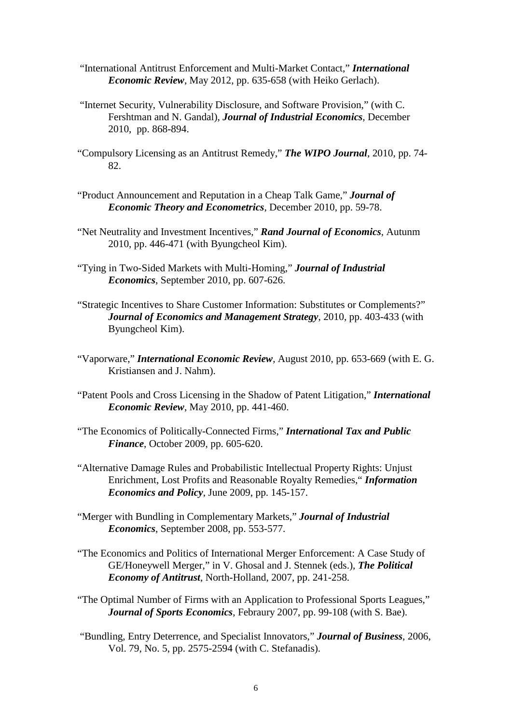- "International Antitrust Enforcement and Multi-Market Contact," *International Economic Review*, May 2012, pp. 635-658 (with Heiko Gerlach).
- "Internet Security, Vulnerability Disclosure, and Software Provision," (with C. Fershtman and N. Gandal), *Journal of Industrial Economics,* December 2010, pp. 868-894.
- "Compulsory Licensing as an Antitrust Remedy," *The WIPO Journal*, 2010, pp. 74- 82.
- "Product Announcement and Reputation in a Cheap Talk Game," *Journal of Economic Theory and Econometrics*, December 2010, pp. 59-78.
- "Net Neutrality and Investment Incentives," *Rand Journal of Economics*, Autunm 2010, pp. 446-471 (with Byungcheol Kim).
- "Tying in Two-Sided Markets with Multi-Homing," *Journal of Industrial Economics*, September 2010, pp. 607-626.
- "Strategic Incentives to Share Customer Information: Substitutes or Complements?" *Journal of Economics and Management Strategy*, 2010, pp. 403-433 (with Byungcheol Kim).
- "Vaporware," *International Economic Review*, August 2010, pp. 653-669 (with E. G. Kristiansen and J. Nahm).
- "Patent Pools and Cross Licensing in the Shadow of Patent Litigation," *International Economic Review*, May 2010, pp. 441-460.
- "The Economics of Politically-Connected Firms," *International Tax and Public Finance*, October 2009, pp. 605-620.
- "Alternative Damage Rules and Probabilistic Intellectual Property Rights: Unjust Enrichment, Lost Profits and Reasonable Royalty Remedies," *Information Economics and Policy*, June 2009, pp. 145-157.
- "Merger with Bundling in Complementary Markets," *Journal of Industrial Economics*, September 2008, pp. 553-577.
- "The Economics and Politics of International Merger Enforcement: A Case Study of GE/Honeywell Merger," in V. Ghosal and J. Stennek (eds.), *The Political Economy of Antitrust*, North-Holland, 2007, pp. 241-258.
- "The Optimal Number of Firms with an Application to Professional Sports Leagues," *Journal of Sports Economics*, Febraury 2007, pp. 99-108 (with S. Bae).
- "Bundling, Entry Deterrence, and Specialist Innovators," *Journal of Business*, 2006, Vol. 79, No. 5, pp. 2575-2594 (with C. Stefanadis).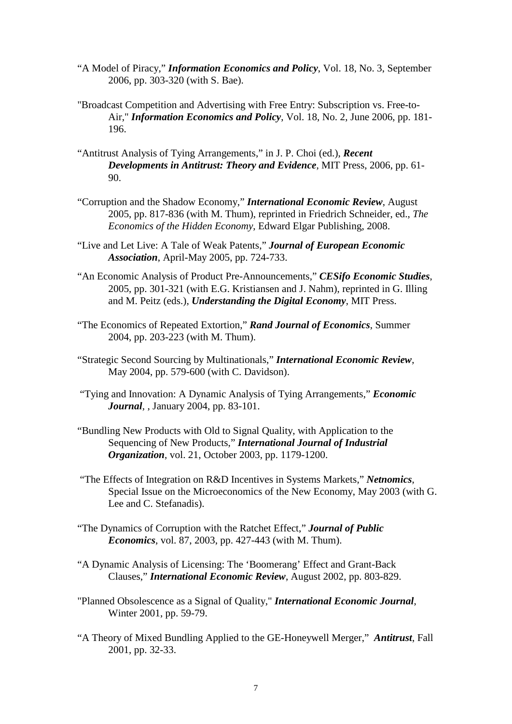- "A Model of Piracy," *Information Economics and Policy*, Vol. 18, No. 3, September 2006, pp. 303-320 (with S. Bae).
- "Broadcast Competition and Advertising with Free Entry: Subscription vs. Free-to-Air," *Information Economics and Policy*, Vol. 18, No. 2, June 2006, pp. 181- 196.
- "Antitrust Analysis of Tying Arrangements," in J. P. Choi (ed.), *Recent Developments in Antitrust: Theory and Evidence*, MIT Press, 2006, pp. 61- 90.
- "Corruption and the Shadow Economy," *International Economic Review*, August 2005, pp. 817-836 (with M. Thum), reprinted in Friedrich Schneider, ed., *The Economics of the Hidden Economy*, Edward Elgar Publishing, 2008.
- "Live and Let Live: A Tale of Weak Patents," *Journal of European Economic Association*, April-May 2005, pp. 724-733.
- "An Economic Analysis of Product Pre-Announcements," *CESifo Economic Studies*, 2005, pp. 301-321 (with E.G. Kristiansen and J. Nahm), reprinted in G. Illing and M. Peitz (eds.), *Understanding the Digital Economy*, MIT Press.
- "The Economics of Repeated Extortion," *Rand Journal of Economics*, Summer 2004, pp. 203-223 (with M. Thum).
- "Strategic Second Sourcing by Multinationals," *International Economic Review*, May 2004, pp. 579-600 (with C. Davidson).
- "Tying and Innovation: A Dynamic Analysis of Tying Arrangements," *Economic Journal*, , January 2004, pp. 83-101.
- "Bundling New Products with Old to Signal Quality, with Application to the Sequencing of New Products," *International Journal of Industrial Organization*, vol. 21, October 2003, pp. 1179-1200.
- "The Effects of Integration on R&D Incentives in Systems Markets," *Netnomics*, Special Issue on the Microeconomics of the New Economy, May 2003 (with G. Lee and C. Stefanadis).
- "The Dynamics of Corruption with the Ratchet Effect," *Journal of Public Economics*, vol. 87, 2003, pp. 427-443 (with M. Thum).
- "A Dynamic Analysis of Licensing: The 'Boomerang' Effect and Grant-Back Clauses," *International Economic Review*, August 2002, pp. 803-829.
- "Planned Obsolescence as a Signal of Quality," *International Economic Journal*, Winter 2001, pp. 59-79.
- "A Theory of Mixed Bundling Applied to the GE-Honeywell Merger," *Antitrust*, Fall 2001, pp. 32-33.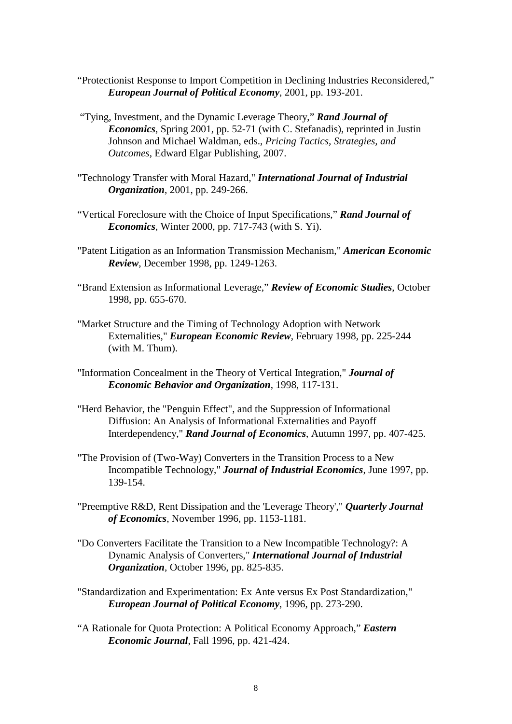- "Protectionist Response to Import Competition in Declining Industries Reconsidered," *European Journal of Political Economy*, 2001, pp. 193-201.
- "Tying, Investment, and the Dynamic Leverage Theory," *Rand Journal of Economics*, Spring 2001, pp. 52-71 (with C. Stefanadis), reprinted in Justin Johnson and Michael Waldman, eds., *Pricing Tactics, Strategies, and Outcomes*, Edward Elgar Publishing, 2007.
- "Technology Transfer with Moral Hazard," *International Journal of Industrial Organization*, 2001, pp. 249-266.
- "Vertical Foreclosure with the Choice of Input Specifications," *Rand Journal of Economics*, Winter 2000, pp. 717-743 (with S. Yi).
- "Patent Litigation as an Information Transmission Mechanism," *American Economic Review*, December 1998, pp. 1249-1263.
- "Brand Extension as Informational Leverage," *Review of Economic Studies*, October 1998, pp. 655-670.
- "Market Structure and the Timing of Technology Adoption with Network Externalities," *European Economic Review*, February 1998, pp. 225-244 (with M. Thum).
- "Information Concealment in the Theory of Vertical Integration," *Journal of Economic Behavior and Organization*, 1998, 117-131.
- "Herd Behavior, the "Penguin Effect", and the Suppression of Informational Diffusion: An Analysis of Informational Externalities and Payoff Interdependency," *Rand Journal of Economics*, Autumn 1997, pp. 407-425.
- "The Provision of (Two-Way) Converters in the Transition Process to a New Incompatible Technology," *Journal of Industrial Economics*, June 1997, pp. 139-154.
- "Preemptive R&D, Rent Dissipation and the 'Leverage Theory'," *Quarterly Journal of Economics*, November 1996, pp. 1153-1181.
- "Do Converters Facilitate the Transition to a New Incompatible Technology?: A Dynamic Analysis of Converters," *International Journal of Industrial Organization*, October 1996, pp. 825-835.
- "Standardization and Experimentation: Ex Ante versus Ex Post Standardization," *European Journal of Political Economy*, 1996, pp. 273-290.
- "A Rationale for Quota Protection: A Political Economy Approach," *Eastern Economic Journal*, Fall 1996, pp. 421-424.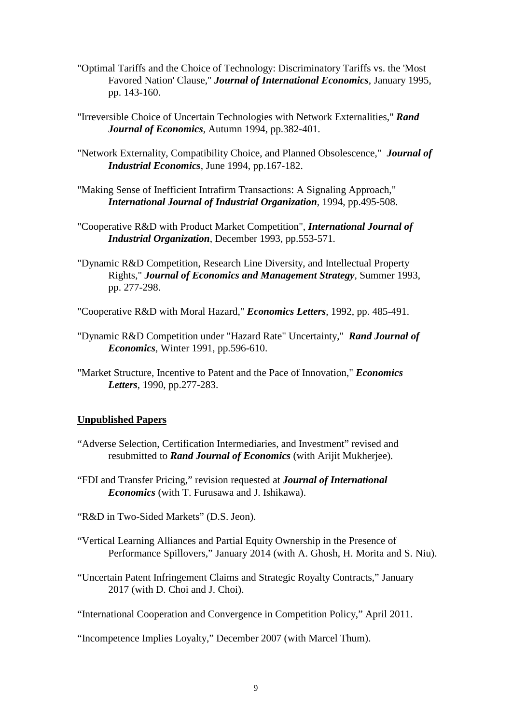- "Optimal Tariffs and the Choice of Technology: Discriminatory Tariffs vs. the 'Most Favored Nation' Clause," *Journal of International Economics*, January 1995, pp. 143-160.
- "Irreversible Choice of Uncertain Technologies with Network Externalities," *Rand Journal of Economics*, Autumn 1994, pp.382-401.
- "Network Externality, Compatibility Choice, and Planned Obsolescence," *Journal of Industrial Economics*, June 1994, pp.167-182.
- "Making Sense of Inefficient Intrafirm Transactions: A Signaling Approach," *International Journal of Industrial Organization*, 1994, pp.495-508.
- "Cooperative R&D with Product Market Competition", *International Journal of Industrial Organization*, December 1993, pp.553-571.
- "Dynamic R&D Competition, Research Line Diversity, and Intellectual Property Rights," *Journal of Economics and Management Strategy*, Summer 1993, pp. 277-298.
- "Cooperative R&D with Moral Hazard," *Economics Letters*, 1992, pp. 485-491.
- "Dynamic R&D Competition under "Hazard Rate" Uncertainty," *Rand Journal of Economics*, Winter 1991, pp.596-610.
- "Market Structure, Incentive to Patent and the Pace of Innovation," *Economics Letters*, 1990, pp.277-283.

#### **Unpublished Papers**

- "Adverse Selection, Certification Intermediaries, and Investment" revised and resubmitted to *Rand Journal of Economics* (with Arijit Mukherjee).
- "FDI and Transfer Pricing," revision requested at *Journal of International Economics* (with T. Furusawa and J. Ishikawa).
- "R&D in Two-Sided Markets" (D.S. Jeon).
- "Vertical Learning Alliances and Partial Equity Ownership in the Presence of Performance Spillovers," January 2014 (with A. Ghosh, H. Morita and S. Niu).
- "Uncertain Patent Infringement Claims and Strategic Royalty Contracts," January 2017 (with D. Choi and J. Choi).
- "International Cooperation and Convergence in Competition Policy," April 2011.
- "Incompetence Implies Loyalty," December 2007 (with Marcel Thum).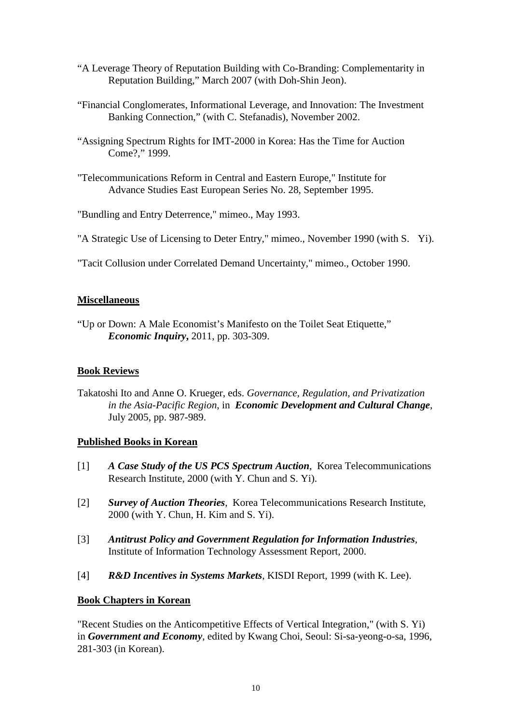- "A Leverage Theory of Reputation Building with Co-Branding: Complementarity in Reputation Building," March 2007 (with Doh-Shin Jeon).
- "Financial Conglomerates, Informational Leverage, and Innovation: The Investment Banking Connection," (with C. Stefanadis), November 2002.
- "Assigning Spectrum Rights for IMT-2000 in Korea: Has the Time for Auction Come?," 1999.
- "Telecommunications Reform in Central and Eastern Europe," Institute for Advance Studies East European Series No. 28, September 1995.

"Bundling and Entry Deterrence," mimeo., May 1993.

- "A Strategic Use of Licensing to Deter Entry," mimeo., November 1990 (with S. Yi).
- "Tacit Collusion under Correlated Demand Uncertainty," mimeo., October 1990.

# **Miscellaneous**

"Up or Down: A Male Economist's Manifesto on the Toilet Seat Etiquette," *Economic Inquiry***,** 2011, pp. 303-309.

# **Book Reviews**

Takatoshi Ito and Anne O. Krueger, eds. *Governance, Regulation, and Privatization in the Asia-Pacific Region*, in *Economic Development and Cultural Change*, July 2005, pp. 987-989.

# **Published Books in Korean**

- [1] *A Case Study of the US PCS Spectrum Auction*, Korea Telecommunications Research Institute, 2000 (with Y. Chun and S. Yi).
- [2] *Survey of Auction Theories*, Korea Telecommunications Research Institute, 2000 (with Y. Chun, H. Kim and S. Yi).
- [3] *Antitrust Policy and Government Regulation for Information Industries*, Institute of Information Technology Assessment Report, 2000.
- [4] **R&D Incentives in Systems Markets**, KISDI Report, 1999 (with K. Lee).

# **Book Chapters in Korean**

"Recent Studies on the Anticompetitive Effects of Vertical Integration," (with S. Yi) in *Government and Economy*, edited by Kwang Choi, Seoul: Si-sa-yeong-o-sa, 1996, 281-303 (in Korean).